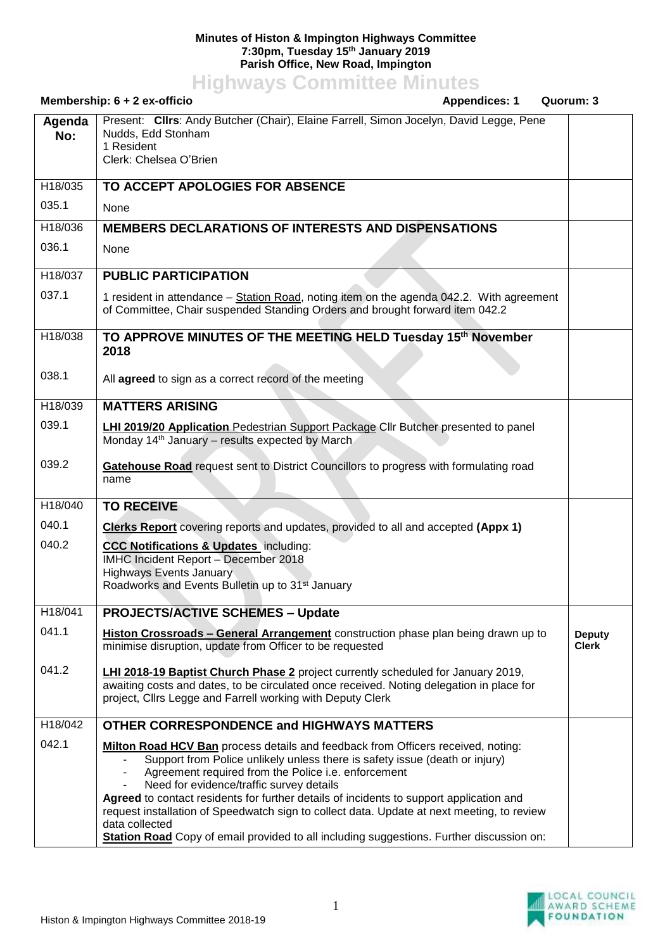## **Minutes of Histon & Impington Highways Committee 7:30pm, Tuesday 15th January 2019 Parish Office, New Road, Impington**

**Highways Committee Minutes**

| Membership: 6 + 2 ex-officio<br><b>Appendices: 1</b><br>Quorum: 3 |                                                                                                                                                                                                                                                                                                                                                                                                                                                                                                        |                               |
|-------------------------------------------------------------------|--------------------------------------------------------------------------------------------------------------------------------------------------------------------------------------------------------------------------------------------------------------------------------------------------------------------------------------------------------------------------------------------------------------------------------------------------------------------------------------------------------|-------------------------------|
| Agenda<br>No:                                                     | Present: Clirs: Andy Butcher (Chair), Elaine Farrell, Simon Jocelyn, David Legge, Pene<br>Nudds, Edd Stonham<br>1 Resident<br>Clerk: Chelsea O'Brien                                                                                                                                                                                                                                                                                                                                                   |                               |
| H18/035                                                           | TO ACCEPT APOLOGIES FOR ABSENCE                                                                                                                                                                                                                                                                                                                                                                                                                                                                        |                               |
| 035.1                                                             | None                                                                                                                                                                                                                                                                                                                                                                                                                                                                                                   |                               |
| H18/036                                                           | <b>MEMBERS DECLARATIONS OF INTERESTS AND DISPENSATIONS</b>                                                                                                                                                                                                                                                                                                                                                                                                                                             |                               |
| 036.1                                                             | None                                                                                                                                                                                                                                                                                                                                                                                                                                                                                                   |                               |
| H18/037                                                           | <b>PUBLIC PARTICIPATION</b>                                                                                                                                                                                                                                                                                                                                                                                                                                                                            |                               |
| 037.1                                                             | 1 resident in attendance - Station Road, noting item on the agenda 042.2. With agreement<br>of Committee, Chair suspended Standing Orders and brought forward item 042.2                                                                                                                                                                                                                                                                                                                               |                               |
| H18/038                                                           | TO APPROVE MINUTES OF THE MEETING HELD Tuesday 15th November<br>2018                                                                                                                                                                                                                                                                                                                                                                                                                                   |                               |
| 038.1                                                             | All agreed to sign as a correct record of the meeting                                                                                                                                                                                                                                                                                                                                                                                                                                                  |                               |
| H18/039                                                           | <b>MATTERS ARISING</b>                                                                                                                                                                                                                                                                                                                                                                                                                                                                                 |                               |
| 039.1                                                             | <b>LHI 2019/20 Application Pedestrian Support Package Cllr Butcher presented to panel</b><br>Monday 14 <sup>th</sup> January – results expected by March                                                                                                                                                                                                                                                                                                                                               |                               |
| 039.2                                                             | Gatehouse Road request sent to District Councillors to progress with formulating road<br>name                                                                                                                                                                                                                                                                                                                                                                                                          |                               |
| H18/040                                                           | <b>TO RECEIVE</b>                                                                                                                                                                                                                                                                                                                                                                                                                                                                                      |                               |
| 040.1                                                             | Clerks Report covering reports and updates, provided to all and accepted (Appx 1)                                                                                                                                                                                                                                                                                                                                                                                                                      |                               |
| 040.2                                                             | <b>CCC Notifications &amp; Updates</b> including:                                                                                                                                                                                                                                                                                                                                                                                                                                                      |                               |
|                                                                   | IMHC Incident Report - December 2018<br><b>Highways Events January</b>                                                                                                                                                                                                                                                                                                                                                                                                                                 |                               |
|                                                                   | Roadworks and Events Bulletin up to 31 <sup>st</sup> January                                                                                                                                                                                                                                                                                                                                                                                                                                           |                               |
| H18/041                                                           | <b>PROJECTS/ACTIVE SCHEMES - Update</b>                                                                                                                                                                                                                                                                                                                                                                                                                                                                |                               |
| 041.1                                                             | Histon Crossroads - General Arrangement construction phase plan being drawn up to<br>minimise disruption, update from Officer to be requested                                                                                                                                                                                                                                                                                                                                                          | <b>Deputy</b><br><b>Clerk</b> |
| 041.2                                                             | <b>LHI 2018-19 Baptist Church Phase 2</b> project currently scheduled for January 2019,<br>awaiting costs and dates, to be circulated once received. Noting delegation in place for<br>project, Cllrs Legge and Farrell working with Deputy Clerk                                                                                                                                                                                                                                                      |                               |
| H18/042                                                           | <b>OTHER CORRESPONDENCE and HIGHWAYS MATTERS</b>                                                                                                                                                                                                                                                                                                                                                                                                                                                       |                               |
| 042.1                                                             | <b>Milton Road HCV Ban</b> process details and feedback from Officers received, noting:<br>Support from Police unlikely unless there is safety issue (death or injury)<br>Agreement required from the Police i.e. enforcement<br>$\blacksquare$<br>Need for evidence/traffic survey details<br>Agreed to contact residents for further details of incidents to support application and<br>request installation of Speedwatch sign to collect data. Update at next meeting, to review<br>data collected |                               |
|                                                                   | Station Road Copy of email provided to all including suggestions. Further discussion on:                                                                                                                                                                                                                                                                                                                                                                                                               |                               |